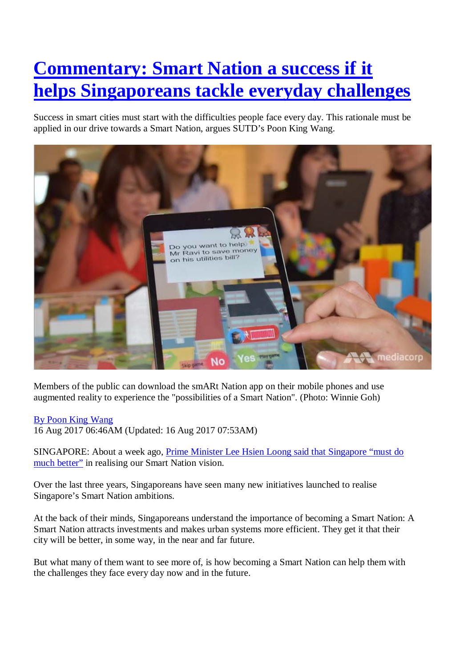# **[Commentary: Smart Nation a success if it](http://www.channelnewsasia.com/news/commentary/commentary-smart-nation-a-success-if-it-helps-singaporeans-9125438)  [helps Singaporeans tackle everyday challenges](http://www.channelnewsasia.com/news/commentary/commentary-smart-nation-a-success-if-it-helps-singaporeans-9125438)**

Success in smart cities must start with the difficulties people face every day. This rationale must be applied in our drive towards a Smart Nation, argues SUTD's Poon King Wang.



Members of the public can download the smARt Nation app on their mobile phones and use augmented reality to experience the "possibilities of a Smart Nation". (Photo: Winnie Goh)

#### By [Poon King Wang](http://www.channelnewsasia.com/author/8589828)

16 Aug 2017 06:46AM (Updated: 16 Aug 2017 07:53AM)

SINGAPORE: About a week ago, [Prime Minister Lee Hsien Loong said that Singapore "must do](http://www.channelnewsasia.com/news/national-day-message-pm-lee-highlights-3-longer-term-issues-9103714)  [much better"](http://www.channelnewsasia.com/news/national-day-message-pm-lee-highlights-3-longer-term-issues-9103714) in realising our Smart Nation vision.

Over the last three years, Singaporeans have seen many new initiatives launched to realise Singapore's Smart Nation ambitions.

At the back of their minds, Singaporeans understand the importance of becoming a Smart Nation: A Smart Nation attracts investments and makes urban systems more efficient. They get it that their city will be better, in some way, in the near and far future.

But what many of them want to see more of, is how becoming a Smart Nation can help them with the challenges they face every day now and in the future.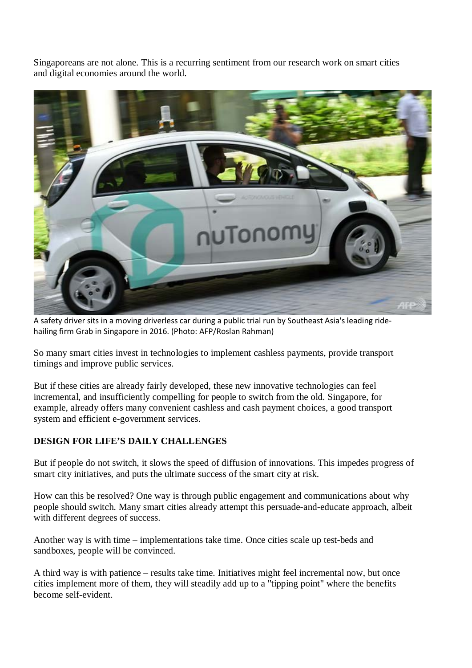Singaporeans are not alone. This is a recurring sentiment from our research work on smart cities and digital economies around the world.



A safety driver sits in a moving driverless car during a public trial run by Southeast Asia's leading ridehailing firm Grab in Singapore in 2016. (Photo: AFP/Roslan Rahman)

So many smart cities invest in technologies to implement cashless payments, provide transport timings and improve public services.

But if these cities are already fairly developed, these new innovative technologies can feel incremental, and insufficiently compelling for people to switch from the old. Singapore, for example, already offers many convenient cashless and cash payment choices, a good transport system and efficient e-government services.

## **DESIGN FOR LIFE'S DAILY CHALLENGES**

But if people do not switch, it slows the speed of diffusion of innovations. This impedes progress of smart city initiatives, and puts the ultimate success of the smart city at risk.

How can this be resolved? One way is through public engagement and communications about why people should switch. Many smart cities already attempt this persuade-and-educate approach, albeit with different degrees of success.

Another way is with time – implementations take time. Once cities scale up test-beds and sandboxes, people will be convinced.

A third way is with patience – results take time. Initiatives might feel incremental now, but once cities implement more of them, they will steadily add up to a "tipping point" where the benefits become self-evident.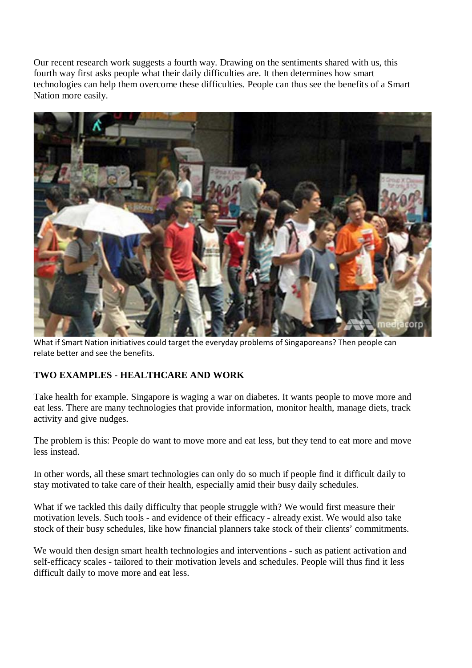Our recent research work suggests a fourth way. Drawing on the sentiments shared with us, this fourth way first asks people what their daily difficulties are. It then determines how smart technologies can help them overcome these difficulties. People can thus see the benefits of a Smart Nation more easily.



What if Smart Nation initiatives could target the everyday problems of Singaporeans? Then people can relate better and see the benefits.

## **TWO EXAMPLES - HEALTHCARE AND WORK**

Take health for example. Singapore is waging a war on diabetes. It wants people to move more and eat less. There are many technologies that provide information, monitor health, manage diets, track activity and give nudges.

The problem is this: People do want to move more and eat less, but they tend to eat more and move less instead.

In other words, all these smart technologies can only do so much if people find it difficult daily to stay motivated to take care of their health, especially amid their busy daily schedules.

What if we tackled this daily difficulty that people struggle with? We would first measure their motivation levels. Such tools - and evidence of their efficacy - already exist. We would also take stock of their busy schedules, like how financial planners take stock of their clients' commitments.

We would then design smart health technologies and interventions - such as patient activation and self-efficacy scales - tailored to their motivation levels and schedules. People will thus find it less difficult daily to move more and eat less.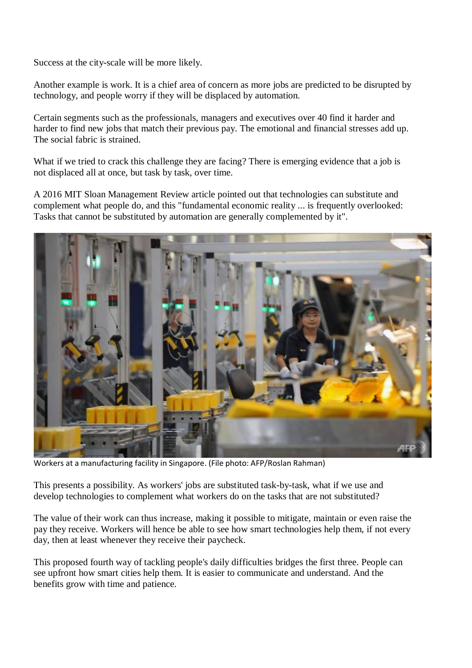Success at the city-scale will be more likely.

Another example is work. It is a chief area of concern as more jobs are predicted to be disrupted by technology, and people worry if they will be displaced by automation.

Certain segments such as the professionals, managers and executives over 40 find it harder and harder to find new jobs that match their previous pay. The emotional and financial stresses add up. The social fabric is strained.

What if we tried to crack this challenge they are facing? There is emerging evidence that a job is not displaced all at once, but task by task, over time.

A 2016 MIT Sloan Management Review article pointed out that technologies can substitute and complement what people do, and this "fundamental economic reality ... is frequently overlooked: Tasks that cannot be substituted by automation are generally complemented by it".



Workers at a manufacturing facility in Singapore. (File photo: AFP/Roslan Rahman)

This presents a possibility. As workers' jobs are substituted task-by-task, what if we use and develop technologies to complement what workers do on the tasks that are not substituted?

The value of their work can thus increase, making it possible to mitigate, maintain or even raise the pay they receive. Workers will hence be able to see how smart technologies help them, if not every day, then at least whenever they receive their paycheck.

This proposed fourth way of tackling people's daily difficulties bridges the first three. People can see upfront how smart cities help them. It is easier to communicate and understand. And the benefits grow with time and patience.